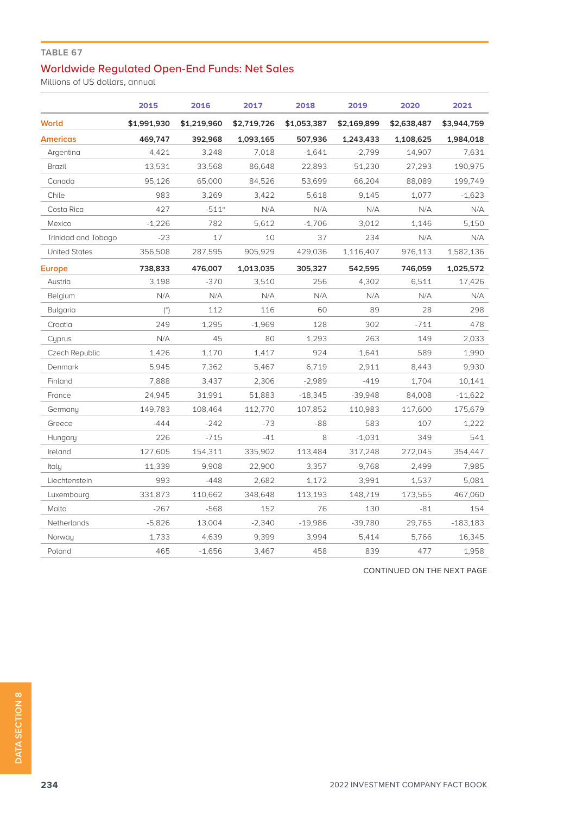## **TABLE 67**

## Worldwide Regulated Open-End Funds: Net Sales

Millions of US dollars, annual

|                      | 2015                 | 2016                | 2017        | 2018        | 2019        | 2020        | 2021        |
|----------------------|----------------------|---------------------|-------------|-------------|-------------|-------------|-------------|
| <b>World</b>         | \$1,991,930          | \$1,219,960         | \$2,719,726 | \$1,053,387 | \$2,169,899 | \$2,638,487 | \$3,944,759 |
| <b>Americas</b>      | 469.747              | 392,968             | 1,093,165   | 507,936     | 1,243,433   | 1,108,625   | 1,984,018   |
| Argentina            | 4,421                | 3,248               | 7,018       | $-1,641$    | $-2,799$    | 14,907      | 7,631       |
| Brazil               | 13,531               | 33,568              | 86,648      | 22,893      | 51,230      | 27,293      | 190,975     |
| Canada               | 95.126               | 65,000              | 84,526      | 53,699      | 66.204      | 88,089      | 199,749     |
| Chile                | 983                  | 3,269               | 3,422       | 5,618       | 9,145       | 1,077       | $-1,623$    |
| Costa Rica           | 427                  | $-511$ <sup>c</sup> | N/A         | N/A         | N/A         | N/A         | N/A         |
| Mexico               | $-1.226$             | 782                 | 5,612       | $-1,706$    | 3,012       | 1,146       | 5,150       |
| Trinidad and Tobago  | $-23$                | 17                  | 10          | 37          | 234         | N/A         | N/A         |
| <b>United States</b> | 356,508              | 287,595             | 905.929     | 429.036     | 1,116,407   | 976,113     | 1,582,136   |
| <b>Europe</b>        | 738,833              | 476,007             | 1,013,035   | 305,327     | 542,595     | 746,059     | 1,025,572   |
| Austria              | 3,198                | $-370$              | 3,510       | 256         | 4,302       | 6,511       | 17,426      |
| Belgium              | N/A                  | N/A                 | N/A         | N/A         | N/A         | N/A         | N/A         |
| <b>Bulgaria</b>      | $($ <sup>*</sup> $)$ | 112                 | 116         | 60          | 89          | 28          | 298         |
| Croatia              | 249                  | 1,295               | $-1,969$    | 128         | 302         | $-711$      | 478         |
| Cuprus               | N/A                  | 45                  | 80          | 1,293       | 263         | 149         | 2,033       |
| Czech Republic       | 1,426                | 1,170               | 1,417       | 924         | 1,641       | 589         | 1,990       |
| Denmark              | 5,945                | 7,362               | 5,467       | 6,719       | 2,911       | 8,443       | 9,930       |
| Finland              | 7,888                | 3,437               | 2,306       | $-2,989$    | $-419$      | 1,704       | 10,141      |
| France               | 24,945               | 31,991              | 51,883      | $-18,345$   | $-39,948$   | 84,008      | $-11,622$   |
| Germany              | 149,783              | 108,464             | 112,770     | 107,852     | 110,983     | 117,600     | 175,679     |
| Greece               | $-444$               | $-242$              | $-73$       | $-88$       | 583         | 107         | 1,222       |
| Hungary              | 226                  | $-715$              | $-41$       | 8           | $-1,031$    | 349         | 541         |
| Ireland              | 127,605              | 154,311             | 335,902     | 113,484     | 317,248     | 272,045     | 354,447     |
| Italy                | 11,339               | 9.908               | 22,900      | 3,357       | $-9.768$    | $-2,499$    | 7,985       |
| Liechtenstein        | 993                  | $-448$              | 2,682       | 1,172       | 3,991       | 1,537       | 5,081       |
| Luxembourg           | 331,873              | 110,662             | 348,648     | 113,193     | 148,719     | 173,565     | 467,060     |
| Malta                | $-267$               | $-568$              | 152         | 76          | 130         | $-81$       | 154         |
| Netherlands          | $-5,826$             | 13,004              | $-2,340$    | $-19,986$   | $-39,780$   | 29,765      | $-183,183$  |
| Norway               | 1,733                | 4,639               | 9,399       | 3,994       | 5,414       | 5,766       | 16,345      |
| Poland               | 465                  | $-1.656$            | 3,467       | 458         | 839         | 477         | 1,958       |

CONTINUED ON THE NEXT PAGE